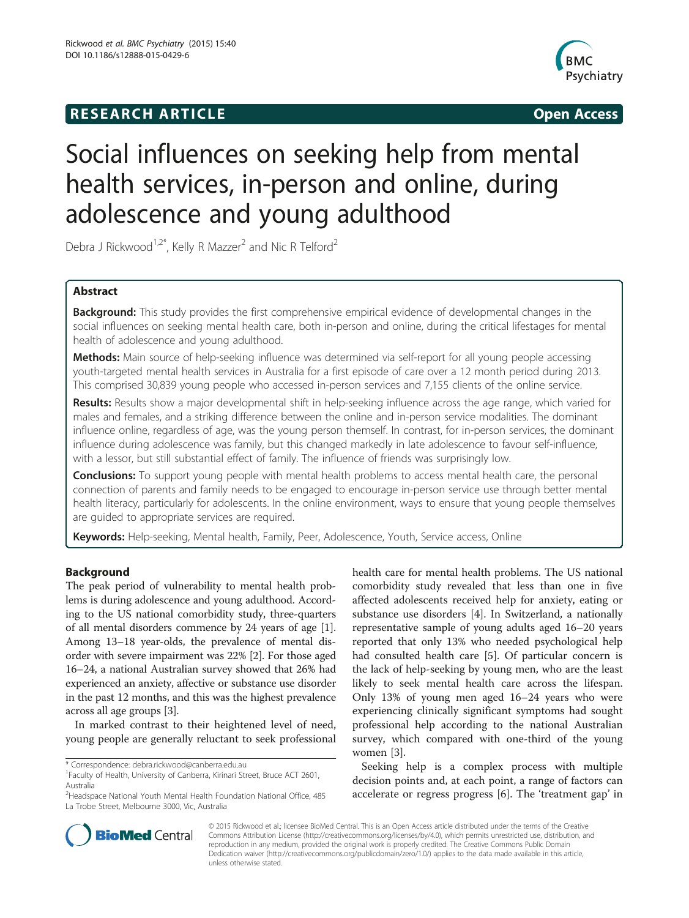## **RESEARCH ARTICLE Example 2014 CONSIDERING CONSIDERING CONSIDERING CONSIDERING CONSIDERING CONSIDERING CONSIDERING CONSIDERING CONSIDERING CONSIDERING CONSIDERING CONSIDERING CONSIDERING CONSIDERING CONSIDERING CONSIDE**



# Social influences on seeking help from mental health services, in-person and online, during adolescence and young adulthood

Debra J Rickwood<sup>1,2\*</sup>, Kelly R Mazzer<sup>2</sup> and Nic R Telford<sup>2</sup>

## Abstract

Background: This study provides the first comprehensive empirical evidence of developmental changes in the social influences on seeking mental health care, both in-person and online, during the critical lifestages for mental health of adolescence and young adulthood.

Methods: Main source of help-seeking influence was determined via self-report for all young people accessing youth-targeted mental health services in Australia for a first episode of care over a 12 month period during 2013. This comprised 30,839 young people who accessed in-person services and 7,155 clients of the online service.

Results: Results show a major developmental shift in help-seeking influence across the age range, which varied for males and females, and a striking difference between the online and in-person service modalities. The dominant influence online, regardless of age, was the young person themself. In contrast, for in-person services, the dominant influence during adolescence was family, but this changed markedly in late adolescence to favour self-influence, with a lessor, but still substantial effect of family. The influence of friends was surprisingly low.

**Conclusions:** To support young people with mental health problems to access mental health care, the personal connection of parents and family needs to be engaged to encourage in-person service use through better mental health literacy, particularly for adolescents. In the online environment, ways to ensure that young people themselves are guided to appropriate services are required.

Keywords: Help-seeking, Mental health, Family, Peer, Adolescence, Youth, Service access, Online

## Background

The peak period of vulnerability to mental health problems is during adolescence and young adulthood. According to the US national comorbidity study, three-quarters of all mental disorders commence by 24 years of age [[1](#page-7-0)]. Among 13–18 year-olds, the prevalence of mental disorder with severe impairment was 22% [[2\]](#page-7-0). For those aged 16–24, a national Australian survey showed that 26% had experienced an anxiety, affective or substance use disorder in the past 12 months, and this was the highest prevalence across all age groups [[3\]](#page-7-0).

In marked contrast to their heightened level of need, young people are generally reluctant to seek professional health care for mental health problems. The US national comorbidity study revealed that less than one in five affected adolescents received help for anxiety, eating or substance use disorders [\[4](#page-7-0)]. In Switzerland, a nationally representative sample of young adults aged 16–20 years reported that only 13% who needed psychological help had consulted health care [[5\]](#page-7-0). Of particular concern is the lack of help-seeking by young men, who are the least likely to seek mental health care across the lifespan. Only 13% of young men aged 16–24 years who were experiencing clinically significant symptoms had sought professional help according to the national Australian survey, which compared with one-third of the young women [[3\]](#page-7-0).

Seeking help is a complex process with multiple decision points and, at each point, a range of factors can accelerate or regress progress [[6\]](#page-7-0). The 'treatment gap' in



© 2015 Rickwood et al.; licensee BioMed Central. This is an Open Access article distributed under the terms of the Creative Commons Attribution License [\(http://creativecommons.org/licenses/by/4.0\)](http://creativecommons.org/licenses/by/4.0), which permits unrestricted use, distribution, and reproduction in any medium, provided the original work is properly credited. The Creative Commons Public Domain Dedication waiver [\(http://creativecommons.org/publicdomain/zero/1.0/](http://creativecommons.org/publicdomain/zero/1.0/)) applies to the data made available in this article, unless otherwise stated.

<sup>\*</sup> Correspondence: [debra.rickwood@canberra.edu.au](mailto:debra.rickwood@canberra.edu.au) <sup>1</sup>

<sup>&</sup>lt;sup>1</sup> Faculty of Health, University of Canberra, Kirinari Street, Bruce ACT 2601, Australia

<sup>&</sup>lt;sup>2</sup> Headspace National Youth Mental Health Foundation National Office, 485 La Trobe Street, Melbourne 3000, Vic, Australia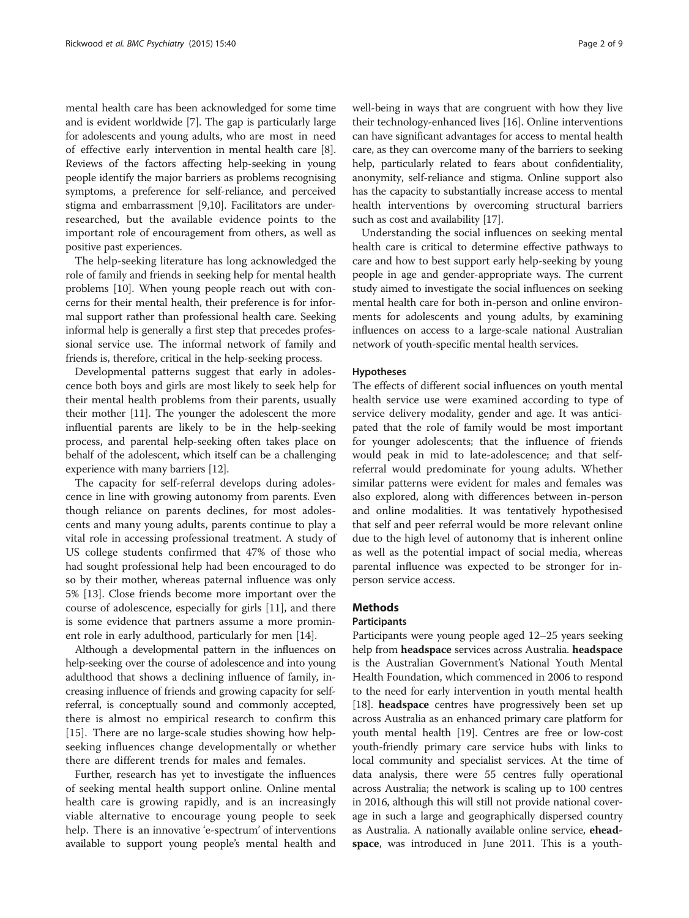mental health care has been acknowledged for some time and is evident worldwide [\[7\]](#page-7-0). The gap is particularly large for adolescents and young adults, who are most in need of effective early intervention in mental health care [[8](#page-7-0)]. Reviews of the factors affecting help-seeking in young people identify the major barriers as problems recognising symptoms, a preference for self-reliance, and perceived stigma and embarrassment [\[9,10\]](#page-7-0). Facilitators are underresearched, but the available evidence points to the important role of encouragement from others, as well as positive past experiences.

The help-seeking literature has long acknowledged the role of family and friends in seeking help for mental health problems [\[10\]](#page-7-0). When young people reach out with concerns for their mental health, their preference is for informal support rather than professional health care. Seeking informal help is generally a first step that precedes professional service use. The informal network of family and friends is, therefore, critical in the help-seeking process.

Developmental patterns suggest that early in adolescence both boys and girls are most likely to seek help for their mental health problems from their parents, usually their mother [[11](#page-7-0)]. The younger the adolescent the more influential parents are likely to be in the help-seeking process, and parental help-seeking often takes place on behalf of the adolescent, which itself can be a challenging experience with many barriers [\[12\]](#page-7-0).

The capacity for self-referral develops during adolescence in line with growing autonomy from parents. Even though reliance on parents declines, for most adolescents and many young adults, parents continue to play a vital role in accessing professional treatment. A study of US college students confirmed that 47% of those who had sought professional help had been encouraged to do so by their mother, whereas paternal influence was only 5% [\[13](#page-7-0)]. Close friends become more important over the course of adolescence, especially for girls [[11\]](#page-7-0), and there is some evidence that partners assume a more prominent role in early adulthood, particularly for men [\[14\]](#page-7-0).

Although a developmental pattern in the influences on help-seeking over the course of adolescence and into young adulthood that shows a declining influence of family, increasing influence of friends and growing capacity for selfreferral, is conceptually sound and commonly accepted, there is almost no empirical research to confirm this [[15\]](#page-7-0). There are no large-scale studies showing how helpseeking influences change developmentally or whether there are different trends for males and females.

Further, research has yet to investigate the influences of seeking mental health support online. Online mental health care is growing rapidly, and is an increasingly viable alternative to encourage young people to seek help. There is an innovative 'e-spectrum' of interventions available to support young people's mental health and

well-being in ways that are congruent with how they live their technology-enhanced lives [[16](#page-7-0)]. Online interventions can have significant advantages for access to mental health care, as they can overcome many of the barriers to seeking help, particularly related to fears about confidentiality, anonymity, self-reliance and stigma. Online support also has the capacity to substantially increase access to mental health interventions by overcoming structural barriers such as cost and availability [\[17](#page-7-0)].

Understanding the social influences on seeking mental health care is critical to determine effective pathways to care and how to best support early help-seeking by young people in age and gender-appropriate ways. The current study aimed to investigate the social influences on seeking mental health care for both in-person and online environments for adolescents and young adults, by examining influences on access to a large-scale national Australian network of youth-specific mental health services.

## Hypotheses

The effects of different social influences on youth mental health service use were examined according to type of service delivery modality, gender and age. It was anticipated that the role of family would be most important for younger adolescents; that the influence of friends would peak in mid to late-adolescence; and that selfreferral would predominate for young adults. Whether similar patterns were evident for males and females was also explored, along with differences between in-person and online modalities. It was tentatively hypothesised that self and peer referral would be more relevant online due to the high level of autonomy that is inherent online as well as the potential impact of social media, whereas parental influence was expected to be stronger for inperson service access.

## Methods

## **Participants**

Participants were young people aged 12–25 years seeking help from headspace services across Australia. headspace is the Australian Government's National Youth Mental Health Foundation, which commenced in 2006 to respond to the need for early intervention in youth mental health [[18](#page-8-0)]. **headspace** centres have progressively been set up across Australia as an enhanced primary care platform for youth mental health [\[19\]](#page-8-0). Centres are free or low-cost youth-friendly primary care service hubs with links to local community and specialist services. At the time of data analysis, there were 55 centres fully operational across Australia; the network is scaling up to 100 centres in 2016, although this will still not provide national coverage in such a large and geographically dispersed country as Australia. A nationally available online service, eheadspace, was introduced in June 2011. This is a youth-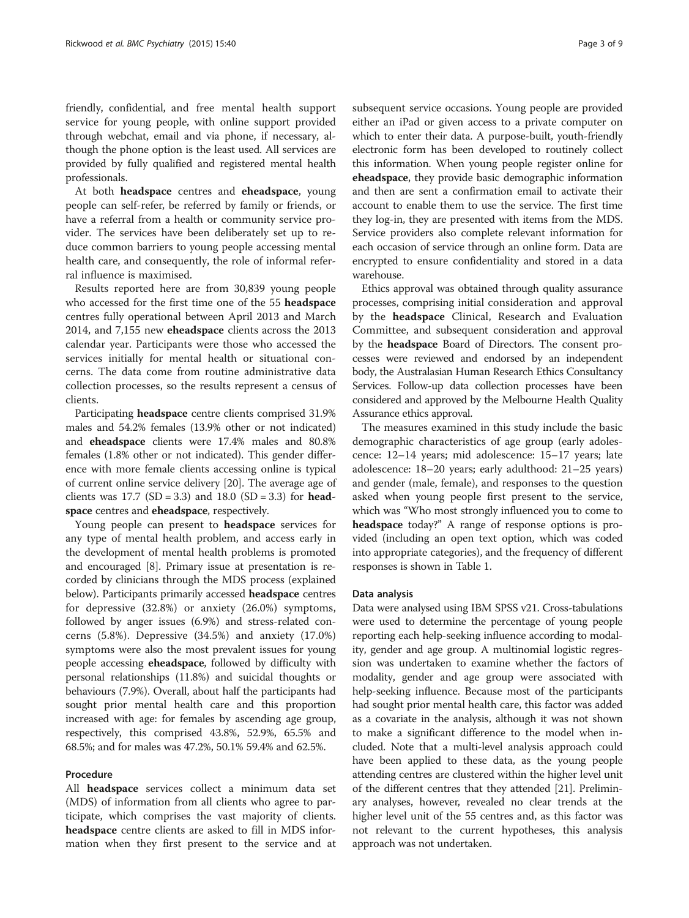friendly, confidential, and free mental health support service for young people, with online support provided through webchat, email and via phone, if necessary, although the phone option is the least used. All services are provided by fully qualified and registered mental health professionals.

At both headspace centres and eheadspace, young people can self-refer, be referred by family or friends, or have a referral from a health or community service provider. The services have been deliberately set up to reduce common barriers to young people accessing mental health care, and consequently, the role of informal referral influence is maximised.

Results reported here are from 30,839 young people who accessed for the first time one of the 55 headspace centres fully operational between April 2013 and March 2014, and 7,155 new eheadspace clients across the 2013 calendar year. Participants were those who accessed the services initially for mental health or situational concerns. The data come from routine administrative data collection processes, so the results represent a census of clients.

Participating headspace centre clients comprised 31.9% males and 54.2% females (13.9% other or not indicated) and eheadspace clients were 17.4% males and 80.8% females (1.8% other or not indicated). This gender difference with more female clients accessing online is typical of current online service delivery [\[20\]](#page-8-0). The average age of clients was  $17.7$  (SD = 3.3) and  $18.0$  (SD = 3.3) for **head**space centres and eheadspace, respectively.

Young people can present to headspace services for any type of mental health problem, and access early in the development of mental health problems is promoted and encouraged [\[8](#page-7-0)]. Primary issue at presentation is recorded by clinicians through the MDS process (explained below). Participants primarily accessed headspace centres for depressive (32.8%) or anxiety (26.0%) symptoms, followed by anger issues (6.9%) and stress-related concerns (5.8%). Depressive (34.5%) and anxiety (17.0%) symptoms were also the most prevalent issues for young people accessing eheadspace, followed by difficulty with personal relationships (11.8%) and suicidal thoughts or behaviours (7.9%). Overall, about half the participants had sought prior mental health care and this proportion increased with age: for females by ascending age group, respectively, this comprised 43.8%, 52.9%, 65.5% and 68.5%; and for males was 47.2%, 50.1% 59.4% and 62.5%.

## Procedure

All headspace services collect a minimum data set (MDS) of information from all clients who agree to participate, which comprises the vast majority of clients. headspace centre clients are asked to fill in MDS information when they first present to the service and at

subsequent service occasions. Young people are provided either an iPad or given access to a private computer on which to enter their data. A purpose-built, youth-friendly electronic form has been developed to routinely collect this information. When young people register online for eheadspace, they provide basic demographic information and then are sent a confirmation email to activate their account to enable them to use the service. The first time they log-in, they are presented with items from the MDS. Service providers also complete relevant information for each occasion of service through an online form. Data are encrypted to ensure confidentiality and stored in a data warehouse.

Ethics approval was obtained through quality assurance processes, comprising initial consideration and approval by the headspace Clinical, Research and Evaluation Committee, and subsequent consideration and approval by the headspace Board of Directors. The consent processes were reviewed and endorsed by an independent body, the Australasian Human Research Ethics Consultancy Services. Follow-up data collection processes have been considered and approved by the Melbourne Health Quality Assurance ethics approval.

The measures examined in this study include the basic demographic characteristics of age group (early adolescence: 12–14 years; mid adolescence: 15–17 years; late adolescence: 18–20 years; early adulthood: 21–25 years) and gender (male, female), and responses to the question asked when young people first present to the service, which was "Who most strongly influenced you to come to headspace today?" A range of response options is provided (including an open text option, which was coded into appropriate categories), and the frequency of different responses is shown in Table [1](#page-3-0).

### Data analysis

Data were analysed using IBM SPSS v21. Cross-tabulations were used to determine the percentage of young people reporting each help-seeking influence according to modality, gender and age group. A multinomial logistic regression was undertaken to examine whether the factors of modality, gender and age group were associated with help-seeking influence. Because most of the participants had sought prior mental health care, this factor was added as a covariate in the analysis, although it was not shown to make a significant difference to the model when included. Note that a multi-level analysis approach could have been applied to these data, as the young people attending centres are clustered within the higher level unit of the different centres that they attended [[21](#page-8-0)]. Preliminary analyses, however, revealed no clear trends at the higher level unit of the 55 centres and, as this factor was not relevant to the current hypotheses, this analysis approach was not undertaken.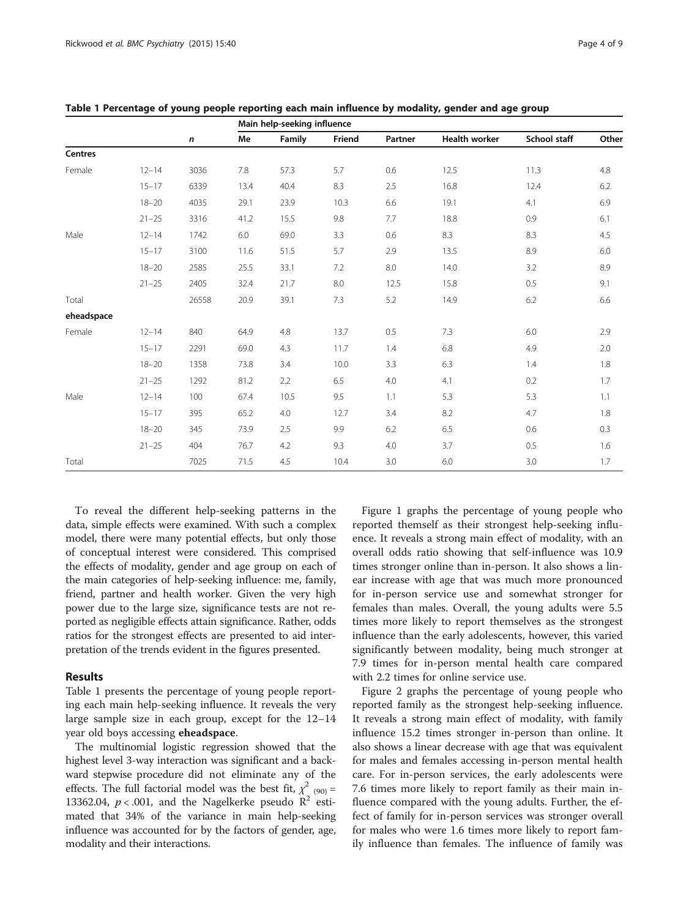|                |           | n     | Main help-seeking influence |        |        |         |                      |              |       |
|----------------|-----------|-------|-----------------------------|--------|--------|---------|----------------------|--------------|-------|
|                |           |       | Me                          | Family | Friend | Partner | <b>Health worker</b> | School staff | Other |
| <b>Centres</b> |           |       |                             |        |        |         |                      |              |       |
| Female         | $12 - 14$ | 3036  | 7.8                         | 57.3   | 5.7    | 0.6     | 12.5                 | 11.3         | 4.8   |
|                | $15 - 17$ | 6339  | 13.4                        | 40.4   | 8.3    | 2.5     | 16.8                 | 12.4         | 6.2   |
|                | $18 - 20$ | 4035  | 29.1                        | 23.9   | 10.3   | 6.6     | 19.1                 | 4.1          | 6.9   |
|                | $21 - 25$ | 3316  | 41.2                        | 15.5   | 9.8    | 7.7     | 18.8                 | 0.9          | 6.1   |
| Male           | $12 - 14$ | 1742  | 6.0                         | 69.0   | 3.3    | 0.6     | 8.3                  | 8.3          | 4.5   |
|                | $15 - 17$ | 3100  | 11.6                        | 51.5   | 5.7    | 2.9     | 13.5                 | 8.9          | 6.0   |
|                | $18 - 20$ | 2585  | 25.5                        | 33.1   | 7.2    | $8.0\,$ | 14.0                 | 3.2          | 8.9   |
|                | $21 - 25$ | 2405  | 32.4                        | 21.7   | 8.0    | 12.5    | 15.8                 | 0.5          | 9.1   |
| Total          |           | 26558 | 20.9                        | 39.1   | 7.3    | 5.2     | 14.9                 | 6.2          | 6.6   |
| eheadspace     |           |       |                             |        |        |         |                      |              |       |
| Female         | $12 - 14$ | 840   | 64.9                        | 4.8    | 13.7   | $0.5\,$ | 7.3                  | 6.0          | 2.9   |
|                | $15 - 17$ | 2291  | 69.0                        | 4.3    | 11.7   | 1.4     | 6.8                  | 4.9          | 2.0   |
|                | $18 - 20$ | 1358  | 73.8                        | 3.4    | 10.0   | 3.3     | 6.3                  | 1.4          | 1.8   |
|                | $21 - 25$ | 1292  | 81.2                        | 2.2    | 6.5    | 4.0     | 4.1                  | 0.2          | 1.7   |
| Male           | $12 - 14$ | 100   | 67.4                        | 10.5   | 9.5    | 1.1     | 5.3                  | 5.3          | 1.1   |
|                | $15 - 17$ | 395   | 65.2                        | 4.0    | 12.7   | 3.4     | 8.2                  | 4.7          | 1.8   |
|                | $18 - 20$ | 345   | 73.9                        | 2.5    | 9.9    | 6.2     | 6.5                  | 0.6          | 0.3   |
|                | $21 - 25$ | 404   | 76.7                        | 4.2    | 9.3    | 4.0     | 3.7                  | 0.5          | 1.6   |
| Total          |           | 7025  | 71.5                        | 4.5    | 10.4   | 3.0     | 6.0                  | 3.0          | 1.7   |

<span id="page-3-0"></span>Table 1 Percentage of young people reporting each main influence by modality, gender and age group

To reveal the different help-seeking patterns in the data, simple effects were examined. With such a complex model, there were many potential effects, but only those of conceptual interest were considered. This comprised the effects of modality, gender and age group on each of the main categories of help-seeking influence: me, family, friend, partner and health worker. Given the very high power due to the large size, significance tests are not reported as negligible effects attain significance. Rather, odds ratios for the strongest effects are presented to aid interpretation of the trends evident in the figures presented.

## Results

Table 1 presents the percentage of young people reporting each main help-seeking influence. It reveals the very large sample size in each group, except for the 12–14 year old boys accessing eheadspace.

The multinomial logistic regression showed that the highest level 3-way interaction was significant and a backward stepwise procedure did not eliminate any of the effects. The full factorial model was the best fit,  $\chi^2$  (90) = 13362.04,  $p < .001$ , and the Nagelkerke pseudo  $\mathbb{R}^2$  estimated that 34% of the variance in main help-seeking influence was accounted for by the factors of gender, age, modality and their interactions.

Figure [1](#page-4-0) graphs the percentage of young people who reported themself as their strongest help-seeking influence. It reveals a strong main effect of modality, with an overall odds ratio showing that self-influence was 10.9 times stronger online than in-person. It also shows a linear increase with age that was much more pronounced for in-person service use and somewhat stronger for females than males. Overall, the young adults were 5.5 times more likely to report themselves as the strongest influence than the early adolescents, however, this varied significantly between modality, being much stronger at 7.9 times for in-person mental health care compared with 2.2 times for online service use.

Figure [2](#page-4-0) graphs the percentage of young people who reported family as the strongest help-seeking influence. It reveals a strong main effect of modality, with family influence 15.2 times stronger in-person than online. It also shows a linear decrease with age that was equivalent for males and females accessing in-person mental health care. For in-person services, the early adolescents were 7.6 times more likely to report family as their main influence compared with the young adults. Further, the effect of family for in-person services was stronger overall for males who were 1.6 times more likely to report family influence than females. The influence of family was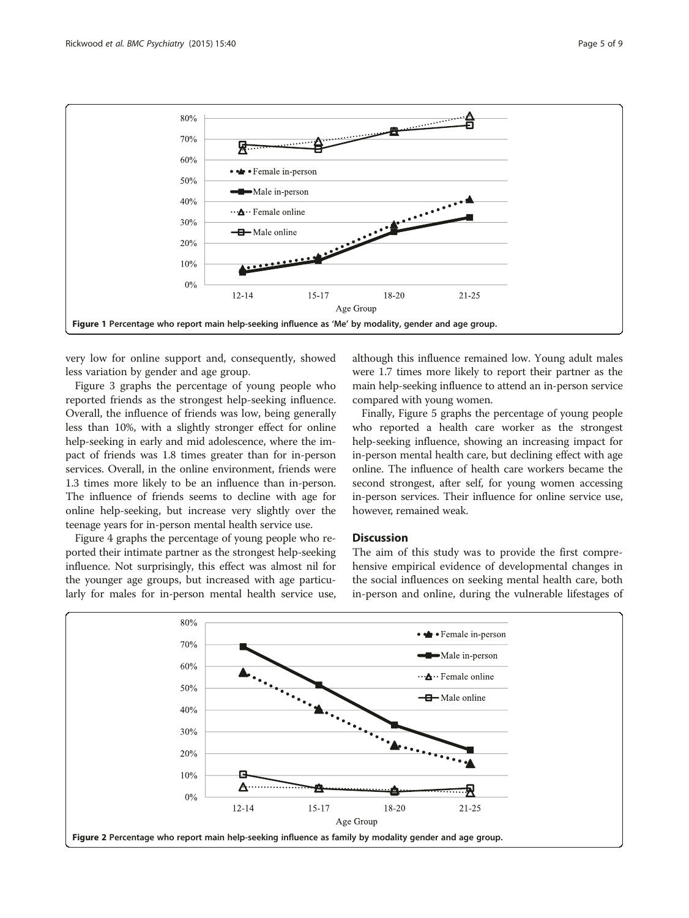<span id="page-4-0"></span>

very low for online support and, consequently, showed less variation by gender and age group.

Figure [3](#page-5-0) graphs the percentage of young people who reported friends as the strongest help-seeking influence. Overall, the influence of friends was low, being generally less than 10%, with a slightly stronger effect for online help-seeking in early and mid adolescence, where the impact of friends was 1.8 times greater than for in-person services. Overall, in the online environment, friends were 1.3 times more likely to be an influence than in-person. The influence of friends seems to decline with age for online help-seeking, but increase very slightly over the teenage years for in-person mental health service use.

Figure [4](#page-5-0) graphs the percentage of young people who reported their intimate partner as the strongest help-seeking influence. Not surprisingly, this effect was almost nil for the younger age groups, but increased with age particularly for males for in-person mental health service use,

although this influence remained low. Young adult males were 1.7 times more likely to report their partner as the main help-seeking influence to attend an in-person service compared with young women.

Finally, Figure [5](#page-6-0) graphs the percentage of young people who reported a health care worker as the strongest help-seeking influence, showing an increasing impact for in-person mental health care, but declining effect with age online. The influence of health care workers became the second strongest, after self, for young women accessing in-person services. Their influence for online service use, however, remained weak.

## **Discussion**

The aim of this study was to provide the first comprehensive empirical evidence of developmental changes in the social influences on seeking mental health care, both in-person and online, during the vulnerable lifestages of

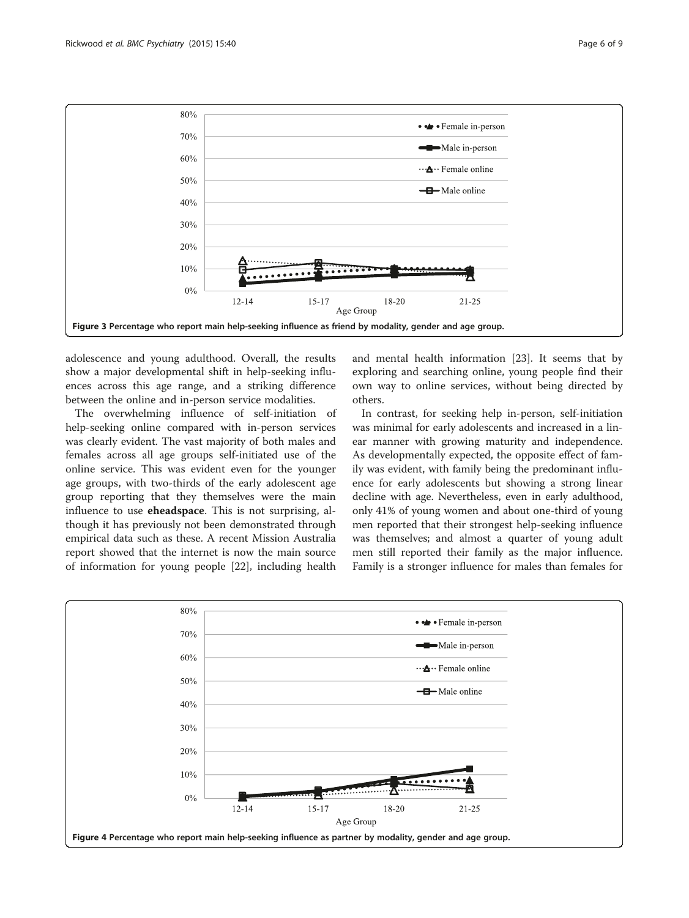<span id="page-5-0"></span>

adolescence and young adulthood. Overall, the results show a major developmental shift in help-seeking influences across this age range, and a striking difference between the online and in-person service modalities.

The overwhelming influence of self-initiation of help-seeking online compared with in-person services was clearly evident. The vast majority of both males and females across all age groups self-initiated use of the online service. This was evident even for the younger age groups, with two-thirds of the early adolescent age group reporting that they themselves were the main influence to use eheadspace. This is not surprising, although it has previously not been demonstrated through empirical data such as these. A recent Mission Australia report showed that the internet is now the main source of information for young people [[22\]](#page-8-0), including health

and mental health information [[23\]](#page-8-0). It seems that by exploring and searching online, young people find their own way to online services, without being directed by others.

In contrast, for seeking help in-person, self-initiation was minimal for early adolescents and increased in a linear manner with growing maturity and independence. As developmentally expected, the opposite effect of family was evident, with family being the predominant influence for early adolescents but showing a strong linear decline with age. Nevertheless, even in early adulthood, only 41% of young women and about one-third of young men reported that their strongest help-seeking influence was themselves; and almost a quarter of young adult men still reported their family as the major influence. Family is a stronger influence for males than females for

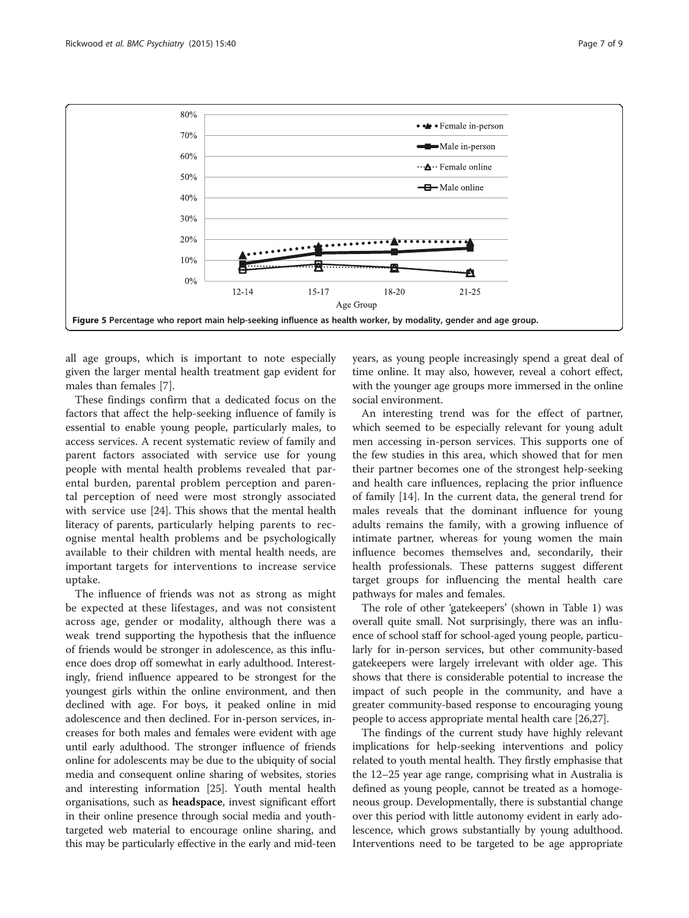<span id="page-6-0"></span>

all age groups, which is important to note especially given the larger mental health treatment gap evident for males than females [[7\]](#page-7-0).

These findings confirm that a dedicated focus on the factors that affect the help-seeking influence of family is essential to enable young people, particularly males, to access services. A recent systematic review of family and parent factors associated with service use for young people with mental health problems revealed that parental burden, parental problem perception and parental perception of need were most strongly associated with service use [\[24\]](#page-8-0). This shows that the mental health literacy of parents, particularly helping parents to recognise mental health problems and be psychologically available to their children with mental health needs, are important targets for interventions to increase service uptake.

The influence of friends was not as strong as might be expected at these lifestages, and was not consistent across age, gender or modality, although there was a weak trend supporting the hypothesis that the influence of friends would be stronger in adolescence, as this influence does drop off somewhat in early adulthood. Interestingly, friend influence appeared to be strongest for the youngest girls within the online environment, and then declined with age. For boys, it peaked online in mid adolescence and then declined. For in-person services, increases for both males and females were evident with age until early adulthood. The stronger influence of friends online for adolescents may be due to the ubiquity of social media and consequent online sharing of websites, stories and interesting information [[25](#page-8-0)]. Youth mental health organisations, such as headspace, invest significant effort in their online presence through social media and youthtargeted web material to encourage online sharing, and this may be particularly effective in the early and mid-teen years, as young people increasingly spend a great deal of time online. It may also, however, reveal a cohort effect, with the younger age groups more immersed in the online social environment.

An interesting trend was for the effect of partner, which seemed to be especially relevant for young adult men accessing in-person services. This supports one of the few studies in this area, which showed that for men their partner becomes one of the strongest help-seeking and health care influences, replacing the prior influence of family [[14\]](#page-7-0). In the current data, the general trend for males reveals that the dominant influence for young adults remains the family, with a growing influence of intimate partner, whereas for young women the main influence becomes themselves and, secondarily, their health professionals. These patterns suggest different target groups for influencing the mental health care pathways for males and females.

The role of other 'gatekeepers' (shown in Table [1\)](#page-3-0) was overall quite small. Not surprisingly, there was an influence of school staff for school-aged young people, particularly for in-person services, but other community-based gatekeepers were largely irrelevant with older age. This shows that there is considerable potential to increase the impact of such people in the community, and have a greater community-based response to encouraging young people to access appropriate mental health care [\[26,27](#page-8-0)].

The findings of the current study have highly relevant implications for help-seeking interventions and policy related to youth mental health. They firstly emphasise that the 12–25 year age range, comprising what in Australia is defined as young people, cannot be treated as a homogeneous group. Developmentally, there is substantial change over this period with little autonomy evident in early adolescence, which grows substantially by young adulthood. Interventions need to be targeted to be age appropriate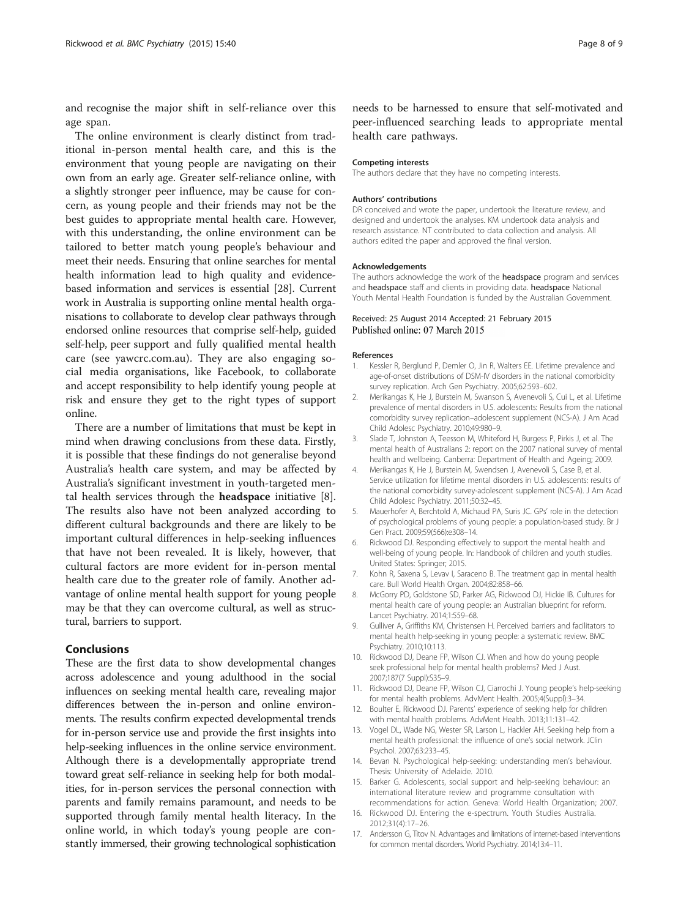<span id="page-7-0"></span>and recognise the major shift in self-reliance over this age span.

The online environment is clearly distinct from traditional in-person mental health care, and this is the environment that young people are navigating on their own from an early age. Greater self-reliance online, with a slightly stronger peer influence, may be cause for concern, as young people and their friends may not be the best guides to appropriate mental health care. However, with this understanding, the online environment can be tailored to better match young people's behaviour and meet their needs. Ensuring that online searches for mental health information lead to high quality and evidencebased information and services is essential [\[28\]](#page-8-0). Current work in Australia is supporting online mental health organisations to collaborate to develop clear pathways through endorsed online resources that comprise self-help, guided self-help, peer support and fully qualified mental health care (see yawcrc.com.au). They are also engaging social media organisations, like Facebook, to collaborate and accept responsibility to help identify young people at risk and ensure they get to the right types of support online.

There are a number of limitations that must be kept in mind when drawing conclusions from these data. Firstly, it is possible that these findings do not generalise beyond Australia's health care system, and may be affected by Australia's significant investment in youth-targeted mental health services through the headspace initiative [8]. The results also have not been analyzed according to different cultural backgrounds and there are likely to be important cultural differences in help-seeking influences that have not been revealed. It is likely, however, that cultural factors are more evident for in-person mental health care due to the greater role of family. Another advantage of online mental health support for young people may be that they can overcome cultural, as well as structural, barriers to support.

## Conclusions

These are the first data to show developmental changes across adolescence and young adulthood in the social influences on seeking mental health care, revealing major differences between the in-person and online environments. The results confirm expected developmental trends for in-person service use and provide the first insights into help-seeking influences in the online service environment. Although there is a developmentally appropriate trend toward great self-reliance in seeking help for both modalities, for in-person services the personal connection with parents and family remains paramount, and needs to be supported through family mental health literacy. In the online world, in which today's young people are constantly immersed, their growing technological sophistication

#### Competing interests

The authors declare that they have no competing interests.

#### Authors' contributions

DR conceived and wrote the paper, undertook the literature review, and designed and undertook the analyses. KM undertook data analysis and research assistance. NT contributed to data collection and analysis. All authors edited the paper and approved the final version.

#### Acknowledgements

The authors acknowledge the work of the headspace program and services and headspace staff and clients in providing data. headspace National Youth Mental Health Foundation is funded by the Australian Government.

## Received: 25 August 2014 Accepted: 21 February 2015 Published online: 07 March 2015

#### References

- 1. Kessler R, Berglund P, Demler O, Jin R, Walters EE. Lifetime prevalence and age-of-onset distributions of DSM-IV disorders in the national comorbidity survey replication. Arch Gen Psychiatry. 2005;62:593–602.
- 2. Merikangas K, He J, Burstein M, Swanson S, Avenevoli S, Cui L, et al. Lifetime prevalence of mental disorders in U.S. adolescents: Results from the national comorbidity survey replication–adolescent supplement (NCS-A). J Am Acad Child Adolesc Psychiatry. 2010;49:980–9.
- 3. Slade T, Johnston A, Teesson M, Whiteford H, Burgess P, Pirkis J, et al. The mental health of Australians 2: report on the 2007 national survey of mental health and wellbeing. Canberra: Department of Health and Ageing; 2009.
- 4. Merikangas K, He J, Burstein M, Swendsen J, Avenevoli S, Case B, et al. Service utilization for lifetime mental disorders in U.S. adolescents: results of the national comorbidity survey-adolescent supplement (NCS-A). J Am Acad Child Adolesc Psychiatry. 2011;50:32–45.
- 5. Mauerhofer A, Berchtold A, Michaud PA, Suris JC. GPs' role in the detection of psychological problems of young people: a population-based study. Br J Gen Pract. 2009;59(566):e308–14.
- 6. Rickwood DJ. Responding effectively to support the mental health and well-being of young people. In: Handbook of children and youth studies. United States: Springer; 2015.
- 7. Kohn R, Saxena S, Levav I, Saraceno B. The treatment gap in mental health care. Bull World Health Organ. 2004;82:858–66.
- 8. McGorry PD, Goldstone SD, Parker AG, Rickwood DJ, Hickie IB. Cultures for mental health care of young people: an Australian blueprint for reform. Lancet Psychiatry. 2014;1:559–68.
- 9. Gulliver A, Griffiths KM, Christensen H. Perceived barriers and facilitators to mental health help-seeking in young people: a systematic review. BMC Psychiatry. 2010;10:113.
- 10. Rickwood DJ, Deane FP, Wilson CJ. When and how do young people seek professional help for mental health problems? Med J Aust. 2007;187(7 Suppl):S35–9.
- 11. Rickwood DJ, Deane FP, Wilson CJ, Ciarrochi J. Young people's help-seeking for mental health problems. AdvMent Health. 2005;4(Suppl):3–34.
- 12. Boulter E, Rickwood DJ. Parents' experience of seeking help for children with mental health problems. AdvMent Health. 2013;11:131–42.
- 13. Vogel DL, Wade NG, Wester SR, Larson L, Hackler AH. Seeking help from a mental health professional: the influence of one's social network. JClin Psychol. 2007;63:233–45.
- 14. Bevan N. Psychological help-seeking: understanding men's behaviour. Thesis: University of Adelaide. 2010.
- 15. Barker G. Adolescents, social support and help-seeking behaviour: an international literature review and programme consultation with recommendations for action. Geneva: World Health Organization; 2007.
- 16. Rickwood DJ. Entering the e-spectrum. Youth Studies Australia. 2012;31(4):17–26.
- 17. Andersson G, Titov N. Advantages and limitations of internet-based interventions for common mental disorders. World Psychiatry. 2014;13:4–11.